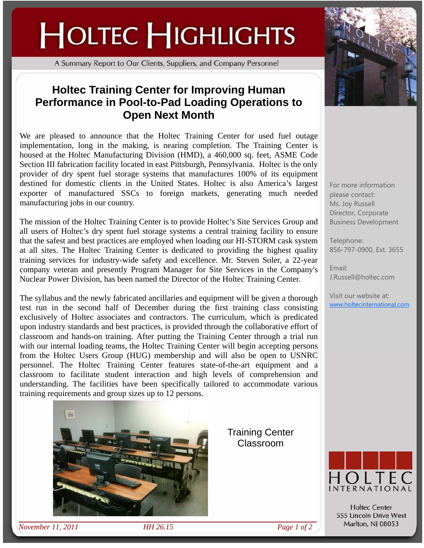## **HOLTEC HIGHLIGHTS**

A Summary Report to Our Clients, Suppliers, and Company Personnel

## **Holtec Training Center for Improving Human Performance in Pool-to-Pad Loading Operations to Open Next Month**

We are pleased to announce that the Holtec Training Center for used fuel outage implementation, long in the making, is nearing completion. The Training Center is housed at the Holtec Manufacturing Division (HMD), a 460,000 sq. feet, ASME Code Section III fabrication facility located in east Pittsburgh, Pennsylvania. Holtec is the only provider of dry spent fuel storage systems that manufactures 100% of its equipment destined for domestic clients in the United States. Holtec is also America's largest exporter of manufactured SSCs to foreign markets, generating much needed manufacturing jobs in our country.

The mission of the Holtec Training Center is to provide Holtec's Site Services Group and all users of Holtec's dry spent fuel storage systems a central training facility to ensure that the safest and best practices are employed when loading our HI-STORM cask system at all sites. The Holtec Training Center is dedicated to providing the highest quality training services for industry-wide safety and excellence. Mr. Steven Soler, a 22-year company veteran and presently Program Manager for Site Services in the Company's Nuclear Power Division, has been named the Director of the Holtec Training Center.

The syllabus and the newly fabricated ancillaries and equipment will be given a thorough test run in the second half of December during the first training class consisting exclusively of Holtec associates and contractors. The curriculum, which is predicated upon industry standards and best practices, is provided through the collaborative effort of classroom and hands-on training. After putting the Training Center through a trial run with our internal loading teams, the Holtec Training Center will begin accepting persons from the Holtec Users Group (HUG) membership and will also be open to USNRC personnel. The Holtec Training Center features state-of-the-art equipment and a classroom to facilitate student interaction and high levels of comprehension and understanding. The facilities have been specifically tailored to accommodate various training requirements and group sizes up to 12 persons.



Training Center Classroom



For more information please contact: Ms. Joy Russell Director, Corporate Business Development

Telephone: 856-797-0900, Ext. 3655

Email: J.Russell@holtec.com

Visit our website at: www.holtecinternational.com



**Holtec Center** 555 Lincoln Drive West Marlton, NJ 08053

*November 11, 2011 HH 26.15 Page 1 of 2*